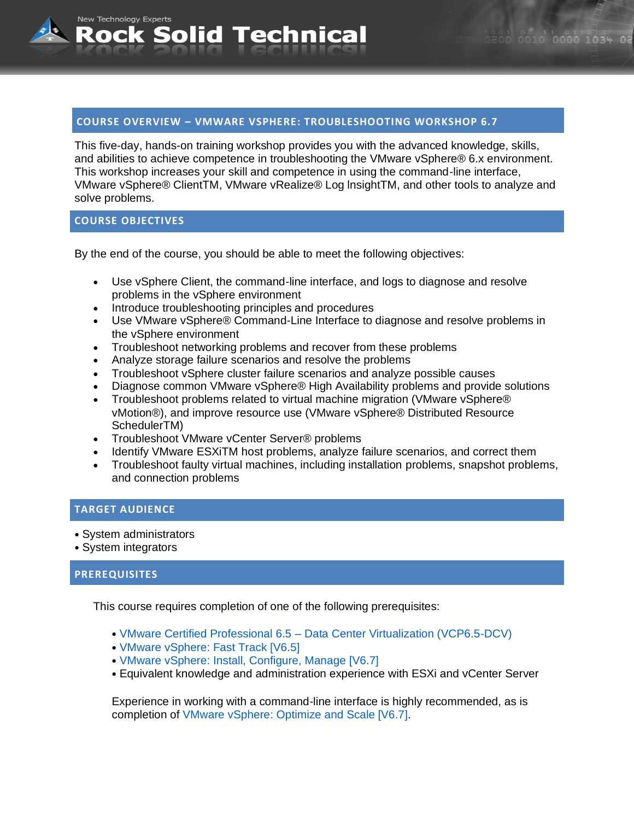#### **COURSE OVERVIEW – VMWARE VSPHERE: TROUBLESHOOTING WORKSHOP 6.7**

This five-day, hands-on training workshop provides you with the advanced knowledge, skills, and abilities to achieve competence in troubleshooting the VMware vSphere® 6.x environment. This workshop increases your skill and competence in using the command-line interface, VMware vSphere® ClientTM, VMware vRealize® Log lnsightTM, and other tools to analyze and solve problems.

#### **COURSE OBJECTIVES**

New Technology Experts

By the end of the course, you should be able to meet the following objectives:

- Use vSphere Client, the command-line interface, and logs to diagnose and resolve problems in the vSphere environment
- Introduce troubleshooting principles and procedures

Rock Solid Technical

- Use VMware vSphere® Command-Line Interface to diagnose and resolve problems in the vSphere environment
- Troubleshoot networking problems and recover from these problems
- Analyze storage failure scenarios and resolve the problems
- Troubleshoot vSphere cluster failure scenarios and analyze possible causes
- Diagnose common VMware vSphere® High Availability problems and provide solutions
- Troubleshoot problems related to virtual machine migration (VMware vSphere® vMotion®), and improve resource use (VMware vSphere® Distributed Resource SchedulerTM)
- Troubleshoot VMware vCenter Server® problems
- Identify VMware ESXiTM host problems, analyze failure scenarios, and correct them
- Troubleshoot faulty virtual machines, including installation problems, snapshot problems, and connection problems

## **TARGET AUDIENCE**

- System administrators
- System integrators

#### **PREREQUISITES**

This course requires completion of one of the following prerequisites:

- VMware Certified Professional 6.5 Data Center Virtualization (VCP6.5-DCV)
- VMware vSphere: Fast Track [V6.5]
- VMware vSphere: Install, Configure, Manage [V6.7]
- Equivalent knowledge and administration experience with ESXi and vCenter Server

Experience in working with a command-line interface is highly recommended, as is completion of VMware vSphere: Optimize and Scale [V6.7].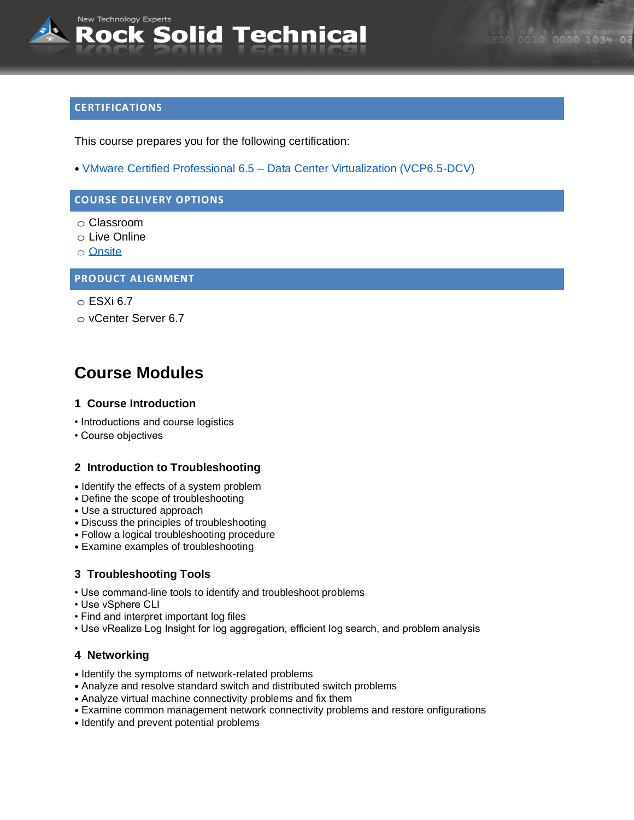# **CERTIFICATIONS**

This course prepares you for the following certification:

• VMware Certified Professional 6.5 – Data Center Virtualization (VCP6.5-DCV)

## **COURSE DELIVERY OPTIONS**

- o Classroom
- o Live Online
- o [Onsite](mailto:sales@rocksolidtechnical.com?subject=On-Site%20Inquiry)

#### **PRODUCT ALIGNMENT**

 $\circ$  ESXi 6.7

o vCenter Server 6.7

# **Course Modules**

#### **1 Course Introduction**

- Introductions and course logistics
- Course objectives

#### **2 Introduction to Troubleshooting**

- Identify the effects of a system problem
- Define the scope of troubleshooting
- Use a structured approach
- Discuss the principles of troubleshooting
- Follow a logical troubleshooting procedure
- Examine examples of troubleshooting

## **3 Troubleshooting Tools**

- Use command-line tools to identify and troubleshoot problems
- Use vSphere CLI
- Find and interpret important log files
- Use vRealize Log Insight for log aggregation, efficient log search, and problem analysis

#### **4 Networking**

- Identify the symptoms of network-related problems
- Analyze and resolve standard switch and distributed switch problems
- Analyze virtual machine connectivity problems and fix them
- Examine common management network connectivity problems and restore onfigurations
- Identify and prevent potential problems